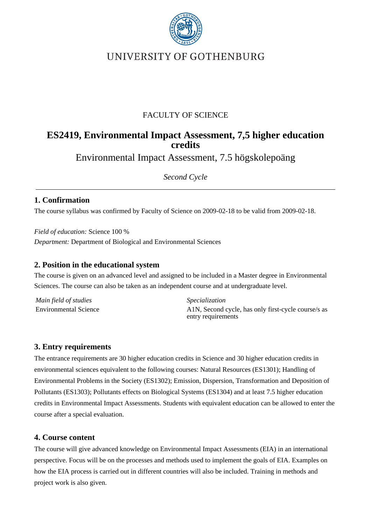

# UNIVERSITY OF GOTHENBURG

## FACULTY OF SCIENCE

## **ES2419, Environmental Impact Assessment, 7,5 higher education credits**

Environmental Impact Assessment, 7.5 högskolepoäng

*Second Cycle*

## **1. Confirmation**

The course syllabus was confirmed by Faculty of Science on 2009-02-18 to be valid from 2009-02-18.

*Field of education:* Science 100 % *Department:* Department of Biological and Environmental Sciences

#### **2. Position in the educational system**

The course is given on an advanced level and assigned to be included in a Master degree in Environmental Sciences. The course can also be taken as an independent course and at undergraduate level.

*Main field of studies Specialization*

Environmental Science A1N, Second cycle, has only first-cycle course/s as entry requirements

## **3. Entry requirements**

The entrance requirements are 30 higher education credits in Science and 30 higher education credits in environmental sciences equivalent to the following courses: Natural Resources (ES1301); Handling of Environmental Problems in the Society (ES1302); Emission, Dispersion, Transformation and Deposition of Pollutants (ES1303); Pollutants effects on Biological Systems (ES1304) and at least 7.5 higher education credits in Environmental Impact Assessments. Students with equivalent education can be allowed to enter the course after a special evaluation.

#### **4. Course content**

The course will give advanced knowledge on Environmental Impact Assessments (EIA) in an international perspective. Focus will be on the processes and methods used to implement the goals of EIA. Examples on how the EIA process is carried out in different countries will also be included. Training in methods and project work is also given.